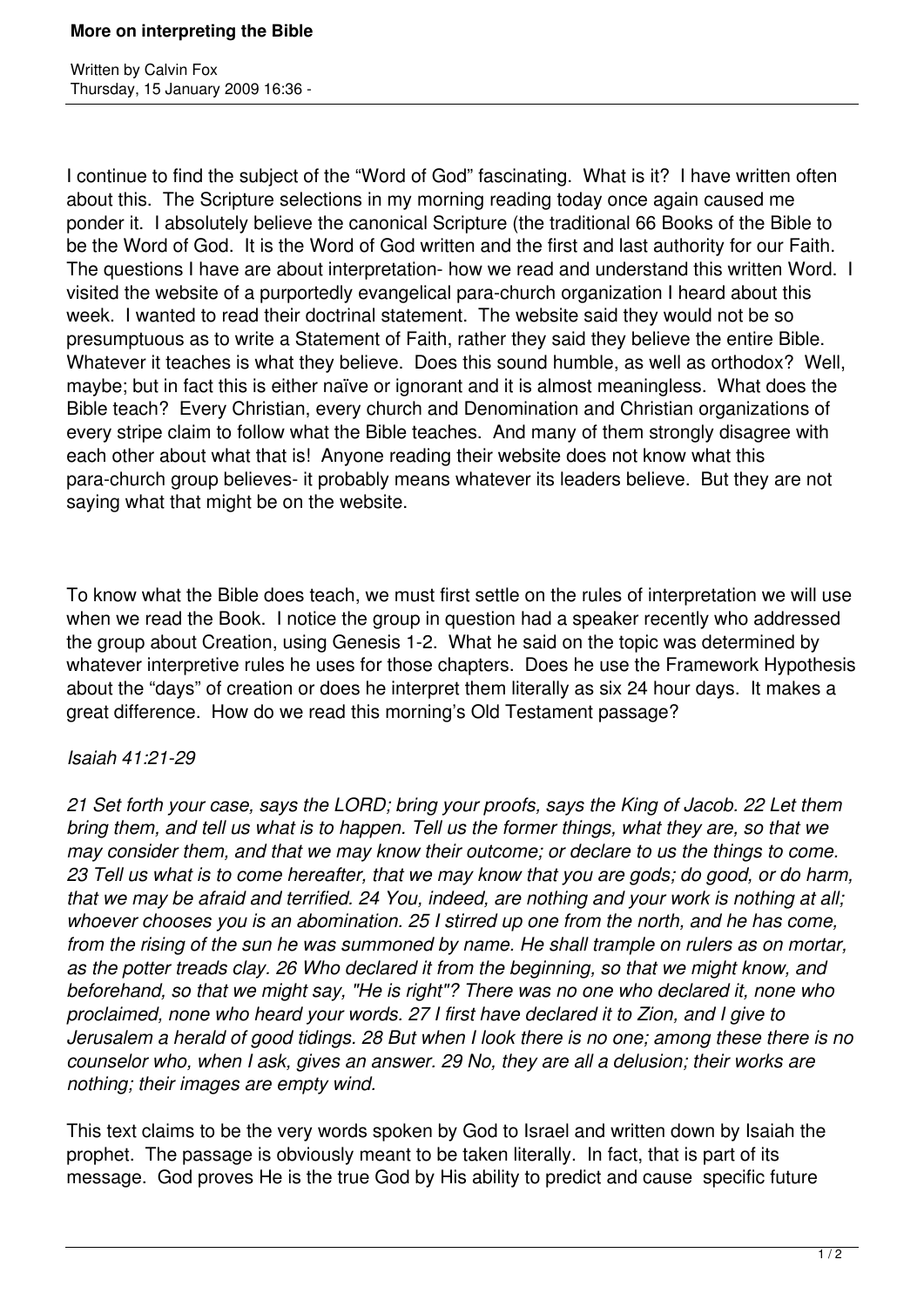Written by Calvin Fox Thursday, 15 January 2009 16:36 -

I continue to find the subject of the "Word of God" fascinating. What is it? I have written often about this. The Scripture selections in my morning reading today once again caused me ponder it. I absolutely believe the canonical Scripture (the traditional 66 Books of the Bible to be the Word of God. It is the Word of God written and the first and last authority for our Faith. The questions I have are about interpretation- how we read and understand this written Word. I visited the website of a purportedly evangelical para-church organization I heard about this week. I wanted to read their doctrinal statement. The website said they would not be so presumptuous as to write a Statement of Faith, rather they said they believe the entire Bible. Whatever it teaches is what they believe. Does this sound humble, as well as orthodox? Well, maybe; but in fact this is either naïve or ignorant and it is almost meaningless. What does the Bible teach? Every Christian, every church and Denomination and Christian organizations of every stripe claim to follow what the Bible teaches. And many of them strongly disagree with each other about what that is! Anyone reading their website does not know what this para-church group believes- it probably means whatever its leaders believe. But they are not saying what that might be on the website.

To know what the Bible does teach, we must first settle on the rules of interpretation we will use when we read the Book. I notice the group in question had a speaker recently who addressed the group about Creation, using Genesis 1-2. What he said on the topic was determined by whatever interpretive rules he uses for those chapters. Does he use the Framework Hypothesis about the "days" of creation or does he interpret them literally as six 24 hour days. It makes a great difference. How do we read this morning's Old Testament passage?

## *Isaiah 41:21-29*

*21 Set forth your case, says the LORD; bring your proofs, says the King of Jacob. 22 Let them bring them, and tell us what is to happen. Tell us the former things, what they are, so that we may consider them, and that we may know their outcome; or declare to us the things to come. 23 Tell us what is to come hereafter, that we may know that you are gods; do good, or do harm, that we may be afraid and terrified. 24 You, indeed, are nothing and your work is nothing at all; whoever chooses you is an abomination. 25 I stirred up one from the north, and he has come, from the rising of the sun he was summoned by name. He shall trample on rulers as on mortar, as the potter treads clay. 26 Who declared it from the beginning, so that we might know, and beforehand, so that we might say, "He is right"? There was no one who declared it, none who proclaimed, none who heard your words. 27 I first have declared it to Zion, and I give to Jerusalem a herald of good tidings. 28 But when I look there is no one; among these there is no counselor who, when I ask, gives an answer. 29 No, they are all a delusion; their works are nothing; their images are empty wind.*

This text claims to be the very words spoken by God to Israel and written down by Isaiah the prophet. The passage is obviously meant to be taken literally. In fact, that is part of its message. God proves He is the true God by His ability to predict and cause specific future